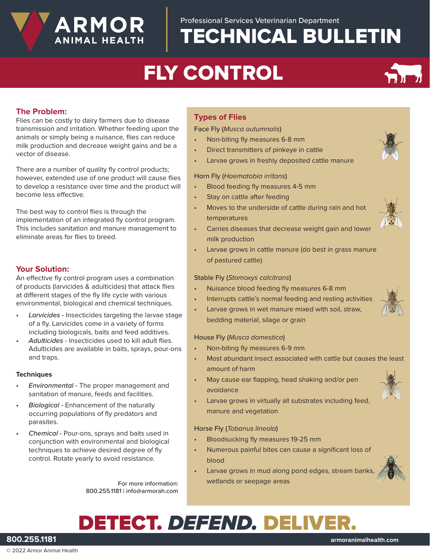# FLY CONTROL

### **The Problem:**

Flies can be costly to dairy farmers due to disease transmission and irritation. Whether feeding upon the animals or simply being a nuisance, flies can reduce milk production and decrease weight gains and be a vector of disease.

**ARMOR** 

ANIMAL HEALTH

There are a number of quality fly control products; however, extended use of one product will cause flies to develop a resistance over time and the product will become less effective.

The best way to control flies is through the implementation of an integrated fly control program. This includes sanitation and manure management to eliminate areas for flies to breed.

### **Your Solution:**

An effective fly control program uses a combination of products (larvicides & adulticides) that attack flies at different stages of the fly life cycle with various environmental, biological and chemical techniques.

- *• Larvicides* Insecticides targeting the larvae stage of a fly. Larvicides come in a variety of forms including biologicals, baits and feed additives.
- *• Adulticides* Insecticides used to kill adult flies. Adulticides are available in baits, sprays, pour-ons and traps.

#### **Techniques**

- *• Environmental -* The proper management and sanitation of manure, feeds and facilities.
- *• Biological* Enhancement of the naturally occurring populations of fly predators and parasites.
- *• Chemical -* Pour-ons, sprays and baits used in conjunction with environmental and biological techniques to achieve desired degree of fly control. Rotate yearly to avoid resistance.

For more information: 800.255.1181 | info@armorah.com

### **Types of Flies**

Face Fly (*Musca autumnalis*)

- Non-biting fly measures 6-8 mm
- Direct transmitters of pinkeye in cattle
- Larvae grows in freshly deposited cattle manure

#### Horn Fly (*Haematobia irritans*)

- Blood feeding fly measures 4-5 mm
- Stay on cattle after feeding
- Moves to the underside of cattle during rain and hot temperatures
- Carries diseases that decrease weight gain and lower milk production
- Larvae grows in cattle manure (do best in grass manure of pastured cattle)

#### Stable Fly (*Stomoxys calcitrans*)

- Nuisance blood feeding fly measures 6-8 mm
- Interrupts cattle's normal feeding and resting activities
- Larvae grows in wet manure mixed with soil, straw, bedding material, silage or grain

#### House Fly (*Musca domestica*)

- Non-biting fly measures 6-9 mm
- Most abundant insect associated with cattle but causes the least amount of harm
- May cause ear flapping, head shaking and/or pen avoidance
- Larvae grows in virtually all substrates including feed, manure and vegetation

#### Horse Fly (*Tabanus lineola*)

- Bloodsucking fly measures 19-25 mm
- Numerous painful bites can cause a significant loss of blood
- Larvae grows in mud along pond edges, stream banks, wetlands or seepage areas

# DETECT. *DEFEND.* DELIVER.

**800.255.1181 armoranimalhealth.com**